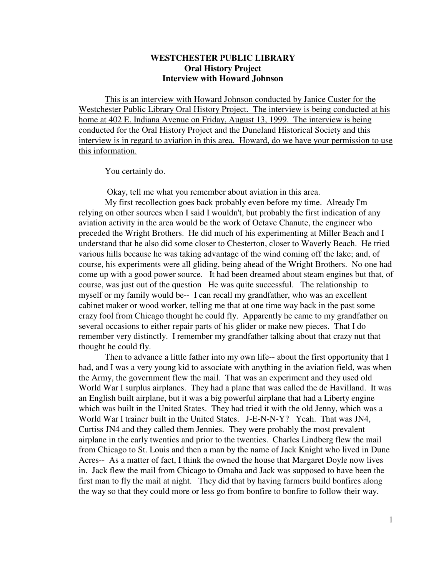# **WESTCHESTER PUBLIC LIBRARY Oral History Project Interview with Howard Johnson**

This is an interview with Howard Johnson conducted by Janice Custer for the Westchester Public Library Oral History Project. The interview is being conducted at his home at 402 E. Indiana Avenue on Friday, August 13, 1999. The interview is being conducted for the Oral History Project and the Duneland Historical Society and this interview is in regard to aviation in this area. Howard, do we have your permission to use this information.

You certainly do.

Okay, tell me what you remember about aviation in this area.

My first recollection goes back probably even before my time. Already I'm relying on other sources when I said I wouldn't, but probably the first indication of any aviation activity in the area would be the work of Octave Chanute, the engineer who preceded the Wright Brothers. He did much of his experimenting at Miller Beach and I understand that he also did some closer to Chesterton, closer to Waverly Beach. He tried various hills because he was taking advantage of the wind coming off the lake; and, of course, his experiments were all gliding, being ahead of the Wright Brothers. No one had come up with a good power source. It had been dreamed about steam engines but that, of course, was just out of the question He was quite successful. The relationship to myself or my family would be-- I can recall my grandfather, who was an excellent cabinet maker or wood worker, telling me that at one time way back in the past some crazy fool from Chicago thought he could fly. Apparently he came to my grandfather on several occasions to either repair parts of his glider or make new pieces. That I do remember very distinctly. I remember my grandfather talking about that crazy nut that thought he could fly.

Then to advance a little father into my own life-- about the first opportunity that I had, and I was a very young kid to associate with anything in the aviation field, was when the Army, the government flew the mail. That was an experiment and they used old World War I surplus airplanes. They had a plane that was called the de Havilland. It was an English built airplane, but it was a big powerful airplane that had a Liberty engine which was built in the United States. They had tried it with the old Jenny, which was a World War I trainer built in the United States. J-E-N-N-Y? Yeah. That was JN4, Curtiss JN4 and they called them Jennies. They were probably the most prevalent airplane in the early twenties and prior to the twenties. Charles Lindberg flew the mail from Chicago to St. Louis and then a man by the name of Jack Knight who lived in Dune Acres-- As a matter of fact, I think the owned the house that Margaret Doyle now lives in. Jack flew the mail from Chicago to Omaha and Jack was supposed to have been the first man to fly the mail at night. They did that by having farmers build bonfires along the way so that they could more or less go from bonfire to bonfire to follow their way.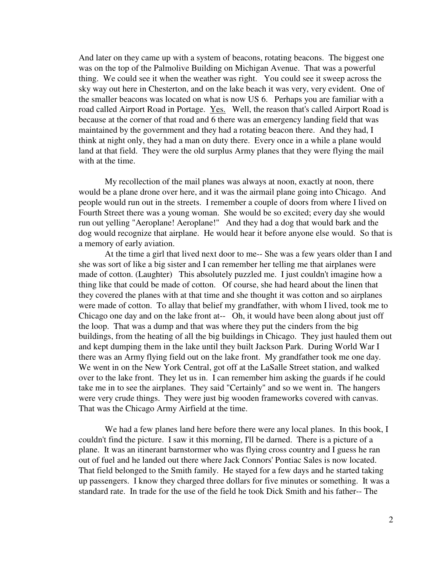And later on they came up with a system of beacons, rotating beacons. The biggest one was on the top of the Palmolive Building on Michigan Avenue. That was a powerful thing. We could see it when the weather was right. You could see it sweep across the sky way out here in Chesterton, and on the lake beach it was very, very evident. One of the smaller beacons was located on what is now US 6. Perhaps you are familiar with a road called Airport Road in Portage. Yes. Well, the reason that's called Airport Road is because at the corner of that road and 6 there was an emergency landing field that was maintained by the government and they had a rotating beacon there. And they had, I think at night only, they had a man on duty there. Every once in a while a plane would land at that field. They were the old surplus Army planes that they were flying the mail with at the time.

My recollection of the mail planes was always at noon, exactly at noon, there would be a plane drone over here, and it was the airmail plane going into Chicago. And people would run out in the streets. I remember a couple of doors from where I lived on Fourth Street there was a young woman. She would be so excited; every day she would run out yelling "Aeroplane! Aeroplane!" And they had a dog that would bark and the dog would recognize that airplane. He would hear it before anyone else would. So that is a memory of early aviation.

At the time a girl that lived next door to me-- She was a few years older than I and she was sort of like a big sister and I can remember her telling me that airplanes were made of cotton. (Laughter) This absolutely puzzled me. I just couldn't imagine how a thing like that could be made of cotton. Of course, she had heard about the linen that they covered the planes with at that time and she thought it was cotton and so airplanes were made of cotton. To allay that belief my grandfather, with whom I lived, took me to Chicago one day and on the lake front at-- Oh, it would have been along about just off the loop. That was a dump and that was where they put the cinders from the big buildings, from the heating of all the big buildings in Chicago. They just hauled them out and kept dumping them in the lake until they built Jackson Park. During World War I there was an Army flying field out on the lake front. My grandfather took me one day. We went in on the New York Central, got off at the LaSalle Street station, and walked over to the lake front. They let us in. I can remember him asking the guards if he could take me in to see the airplanes. They said "Certainly" and so we went in. The hangers were very crude things. They were just big wooden frameworks covered with canvas. That was the Chicago Army Airfield at the time.

We had a few planes land here before there were any local planes. In this book, I couldn't find the picture. I saw it this morning, I'll be darned. There is a picture of a plane. It was an itinerant barnstormer who was flying cross country and I guess he ran out of fuel and he landed out there where Jack Connors' Pontiac Sales is now located. That field belonged to the Smith family. He stayed for a few days and he started taking up passengers. I know they charged three dollars for five minutes or something. It was a standard rate. In trade for the use of the field he took Dick Smith and his father-- The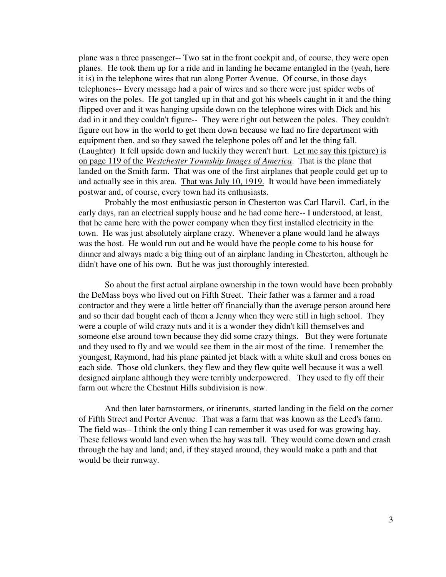plane was a three passenger-- Two sat in the front cockpit and, of course, they were open planes. He took them up for a ride and in landing he became entangled in the (yeah, here it is) in the telephone wires that ran along Porter Avenue. Of course, in those days telephones-- Every message had a pair of wires and so there were just spider webs of wires on the poles. He got tangled up in that and got his wheels caught in it and the thing flipped over and it was hanging upside down on the telephone wires with Dick and his dad in it and they couldn't figure-- They were right out between the poles. They couldn't figure out how in the world to get them down because we had no fire department with equipment then, and so they sawed the telephone poles off and let the thing fall. (Laughter) It fell upside down and luckily they weren't hurt. Let me say this (picture) is on page 119 of the *Westchester Township Images of America*. That is the plane that landed on the Smith farm. That was one of the first airplanes that people could get up to and actually see in this area. That was July 10, 1919. It would have been immediately postwar and, of course, every town had its enthusiasts.

Probably the most enthusiastic person in Chesterton was Carl Harvil. Carl, in the early days, ran an electrical supply house and he had come here-- I understood, at least, that he came here with the power company when they first installed electricity in the town. He was just absolutely airplane crazy. Whenever a plane would land he always was the host. He would run out and he would have the people come to his house for dinner and always made a big thing out of an airplane landing in Chesterton, although he didn't have one of his own. But he was just thoroughly interested.

So about the first actual airplane ownership in the town would have been probably the DeMass boys who lived out on Fifth Street. Their father was a farmer and a road contractor and they were a little better off financially than the average person around here and so their dad bought each of them a Jenny when they were still in high school. They were a couple of wild crazy nuts and it is a wonder they didn't kill themselves and someone else around town because they did some crazy things. But they were fortunate and they used to fly and we would see them in the air most of the time. I remember the youngest, Raymond, had his plane painted jet black with a white skull and cross bones on each side. Those old clunkers, they flew and they flew quite well because it was a well designed airplane although they were terribly underpowered. They used to fly off their farm out where the Chestnut Hills subdivision is now.

And then later barnstormers, or itinerants, started landing in the field on the corner of Fifth Street and Porter Avenue. That was a farm that was known as the Leed's farm. The field was-- I think the only thing I can remember it was used for was growing hay. These fellows would land even when the hay was tall. They would come down and crash through the hay and land; and, if they stayed around, they would make a path and that would be their runway.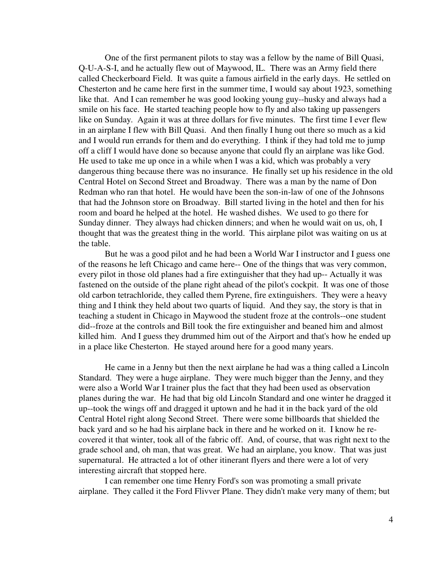One of the first permanent pilots to stay was a fellow by the name of Bill Quasi, Q-U-A-S-I, and he actually flew out of Maywood, IL. There was an Army field there called Checkerboard Field. It was quite a famous airfield in the early days. He settled on Chesterton and he came here first in the summer time, I would say about 1923, something like that. And I can remember he was good looking young guy--husky and always had a smile on his face. He started teaching people how to fly and also taking up passengers like on Sunday. Again it was at three dollars for five minutes. The first time I ever flew in an airplane I flew with Bill Quasi. And then finally I hung out there so much as a kid and I would run errands for them and do everything. I think if they had told me to jump off a cliff I would have done so because anyone that could fly an airplane was like God. He used to take me up once in a while when I was a kid, which was probably a very dangerous thing because there was no insurance. He finally set up his residence in the old Central Hotel on Second Street and Broadway. There was a man by the name of Don Redman who ran that hotel. He would have been the son-in-law of one of the Johnsons that had the Johnson store on Broadway. Bill started living in the hotel and then for his room and board he helped at the hotel. He washed dishes. We used to go there for Sunday dinner. They always had chicken dinners; and when he would wait on us, oh, I thought that was the greatest thing in the world. This airplane pilot was waiting on us at the table.

But he was a good pilot and he had been a World War I instructor and I guess one of the reasons he left Chicago and came here-- One of the things that was very common, every pilot in those old planes had a fire extinguisher that they had up-- Actually it was fastened on the outside of the plane right ahead of the pilot's cockpit. It was one of those old carbon tetrachloride, they called them Pyrene, fire extinguishers. They were a heavy thing and I think they held about two quarts of liquid. And they say, the story is that in teaching a student in Chicago in Maywood the student froze at the controls--one student did--froze at the controls and Bill took the fire extinguisher and beaned him and almost killed him. And I guess they drummed him out of the Airport and that's how he ended up in a place like Chesterton. He stayed around here for a good many years.

He came in a Jenny but then the next airplane he had was a thing called a Lincoln Standard. They were a huge airplane. They were much bigger than the Jenny, and they were also a World War I trainer plus the fact that they had been used as observation planes during the war. He had that big old Lincoln Standard and one winter he dragged it up--took the wings off and dragged it uptown and he had it in the back yard of the old Central Hotel right along Second Street. There were some billboards that shielded the back yard and so he had his airplane back in there and he worked on it. I know he recovered it that winter, took all of the fabric off. And, of course, that was right next to the grade school and, oh man, that was great. We had an airplane, you know. That was just supernatural. He attracted a lot of other itinerant flyers and there were a lot of very interesting aircraft that stopped here.

I can remember one time Henry Ford's son was promoting a small private airplane. They called it the Ford Flivver Plane. They didn't make very many of them; but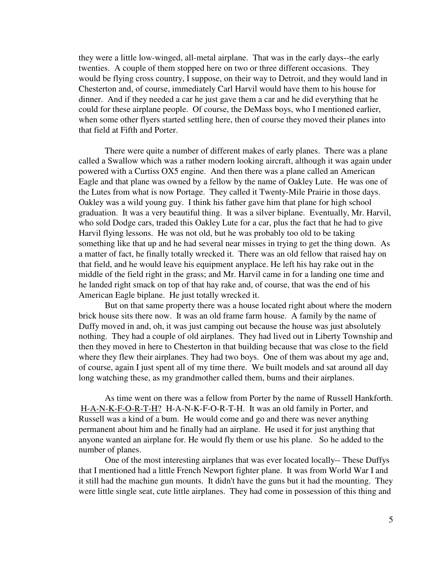they were a little low-winged, all-metal airplane. That was in the early days--the early twenties. A couple of them stopped here on two or three different occasions. They would be flying cross country, I suppose, on their way to Detroit, and they would land in Chesterton and, of course, immediately Carl Harvil would have them to his house for dinner. And if they needed a car he just gave them a car and he did everything that he could for these airplane people. Of course, the DeMass boys, who I mentioned earlier, when some other flyers started settling here, then of course they moved their planes into that field at Fifth and Porter.

There were quite a number of different makes of early planes. There was a plane called a Swallow which was a rather modern looking aircraft, although it was again under powered with a Curtiss OX5 engine. And then there was a plane called an American Eagle and that plane was owned by a fellow by the name of Oakley Lute. He was one of the Lutes from what is now Portage. They called it Twenty-Mile Prairie in those days. Oakley was a wild young guy. I think his father gave him that plane for high school graduation. It was a very beautiful thing. It was a silver biplane. Eventually, Mr. Harvil, who sold Dodge cars, traded this Oakley Lute for a car, plus the fact that he had to give Harvil flying lessons. He was not old, but he was probably too old to be taking something like that up and he had several near misses in trying to get the thing down. As a matter of fact, he finally totally wrecked it. There was an old fellow that raised hay on that field, and he would leave his equipment anyplace. He left his hay rake out in the middle of the field right in the grass; and Mr. Harvil came in for a landing one time and he landed right smack on top of that hay rake and, of course, that was the end of his American Eagle biplane. He just totally wrecked it.

But on that same property there was a house located right about where the modern brick house sits there now. It was an old frame farm house. A family by the name of Duffy moved in and, oh, it was just camping out because the house was just absolutely nothing. They had a couple of old airplanes. They had lived out in Liberty Township and then they moved in here to Chesterton in that building because that was close to the field where they flew their airplanes. They had two boys. One of them was about my age and, of course, again I just spent all of my time there. We built models and sat around all day long watching these, as my grandmother called them, bums and their airplanes.

As time went on there was a fellow from Porter by the name of Russell Hankforth. H-A-N-K-F-O-R-T-H? H-A-N-K-F-O-R-T-H. It was an old family in Porter, and Russell was a kind of a bum. He would come and go and there was never anything permanent about him and he finally had an airplane. He used it for just anything that anyone wanted an airplane for. He would fly them or use his plane. So he added to the number of planes.

One of the most interesting airplanes that was ever located locally-- These Duffys that I mentioned had a little French Newport fighter plane. It was from World War I and it still had the machine gun mounts. It didn't have the guns but it had the mounting. They were little single seat, cute little airplanes. They had come in possession of this thing and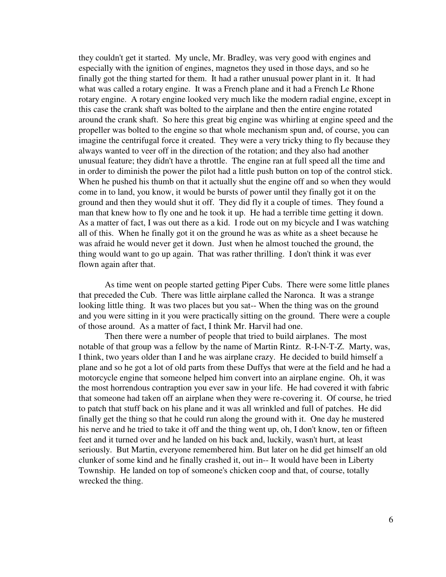they couldn't get it started. My uncle, Mr. Bradley, was very good with engines and especially with the ignition of engines, magnetos they used in those days, and so he finally got the thing started for them. It had a rather unusual power plant in it. It had what was called a rotary engine. It was a French plane and it had a French Le Rhone rotary engine. A rotary engine looked very much like the modern radial engine, except in this case the crank shaft was bolted to the airplane and then the entire engine rotated around the crank shaft. So here this great big engine was whirling at engine speed and the propeller was bolted to the engine so that whole mechanism spun and, of course, you can imagine the centrifugal force it created. They were a very tricky thing to fly because they always wanted to veer off in the direction of the rotation; and they also had another unusual feature; they didn't have a throttle. The engine ran at full speed all the time and in order to diminish the power the pilot had a little push button on top of the control stick. When he pushed his thumb on that it actually shut the engine off and so when they would come in to land, you know, it would be bursts of power until they finally got it on the ground and then they would shut it off. They did fly it a couple of times. They found a man that knew how to fly one and he took it up. He had a terrible time getting it down. As a matter of fact, I was out there as a kid. I rode out on my bicycle and I was watching all of this. When he finally got it on the ground he was as white as a sheet because he was afraid he would never get it down. Just when he almost touched the ground, the thing would want to go up again. That was rather thrilling. I don't think it was ever flown again after that.

As time went on people started getting Piper Cubs. There were some little planes that preceded the Cub. There was little airplane called the Naronca. It was a strange looking little thing. It was two places but you sat-- When the thing was on the ground and you were sitting in it you were practically sitting on the ground. There were a couple of those around. As a matter of fact, I think Mr. Harvil had one.

Then there were a number of people that tried to build airplanes. The most notable of that group was a fellow by the name of Martin Rintz. R-I-N-T-Z. Marty, was, I think, two years older than I and he was airplane crazy. He decided to build himself a plane and so he got a lot of old parts from these Duffys that were at the field and he had a motorcycle engine that someone helped him convert into an airplane engine. Oh, it was the most horrendous contraption you ever saw in your life. He had covered it with fabric that someone had taken off an airplane when they were re-covering it. Of course, he tried to patch that stuff back on his plane and it was all wrinkled and full of patches. He did finally get the thing so that he could run along the ground with it. One day he mustered his nerve and he tried to take it off and the thing went up, oh, I don't know, ten or fifteen feet and it turned over and he landed on his back and, luckily, wasn't hurt, at least seriously. But Martin, everyone remembered him. But later on he did get himself an old clunker of some kind and he finally crashed it, out in-- It would have been in Liberty Township. He landed on top of someone's chicken coop and that, of course, totally wrecked the thing.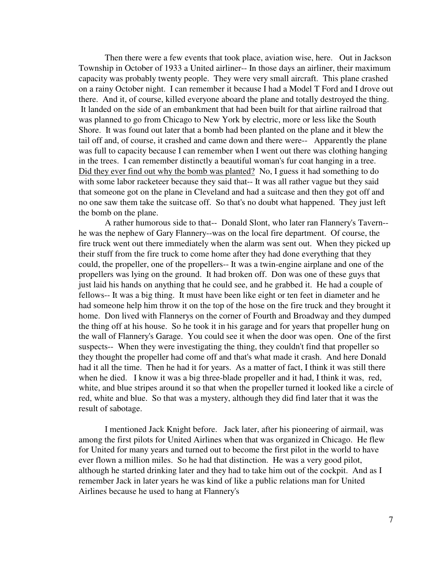Then there were a few events that took place, aviation wise, here. Out in Jackson Township in October of 1933 a United airliner-- In those days an airliner, their maximum capacity was probably twenty people. They were very small aircraft. This plane crashed on a rainy October night. I can remember it because I had a Model T Ford and I drove out there. And it, of course, killed everyone aboard the plane and totally destroyed the thing. It landed on the side of an embankment that had been built for that airline railroad that was planned to go from Chicago to New York by electric, more or less like the South Shore. It was found out later that a bomb had been planted on the plane and it blew the tail off and, of course, it crashed and came down and there were-- Apparently the plane was full to capacity because I can remember when I went out there was clothing hanging in the trees. I can remember distinctly a beautiful woman's fur coat hanging in a tree. Did they ever find out why the bomb was planted? No, I guess it had something to do with some labor racketeer because they said that-- It was all rather vague but they said that someone got on the plane in Cleveland and had a suitcase and then they got off and no one saw them take the suitcase off. So that's no doubt what happened. They just left the bomb on the plane.

A rather humorous side to that-- Donald Slont, who later ran Flannery's Tavern- he was the nephew of Gary Flannery--was on the local fire department. Of course, the fire truck went out there immediately when the alarm was sent out. When they picked up their stuff from the fire truck to come home after they had done everything that they could, the propeller, one of the propellers-- It was a twin-engine airplane and one of the propellers was lying on the ground. It had broken off. Don was one of these guys that just laid his hands on anything that he could see, and he grabbed it. He had a couple of fellows-- It was a big thing. It must have been like eight or ten feet in diameter and he had someone help him throw it on the top of the hose on the fire truck and they brought it home. Don lived with Flannerys on the corner of Fourth and Broadway and they dumped the thing off at his house. So he took it in his garage and for years that propeller hung on the wall of Flannery's Garage. You could see it when the door was open. One of the first suspects-- When they were investigating the thing, they couldn't find that propeller so they thought the propeller had come off and that's what made it crash. And here Donald had it all the time. Then he had it for years. As a matter of fact, I think it was still there when he died. I know it was a big three-blade propeller and it had, I think it was, red, white, and blue stripes around it so that when the propeller turned it looked like a circle of red, white and blue. So that was a mystery, although they did find later that it was the result of sabotage.

I mentioned Jack Knight before. Jack later, after his pioneering of airmail, was among the first pilots for United Airlines when that was organized in Chicago. He flew for United for many years and turned out to become the first pilot in the world to have ever flown a million miles. So he had that distinction. He was a very good pilot, although he started drinking later and they had to take him out of the cockpit. And as I remember Jack in later years he was kind of like a public relations man for United Airlines because he used to hang at Flannery's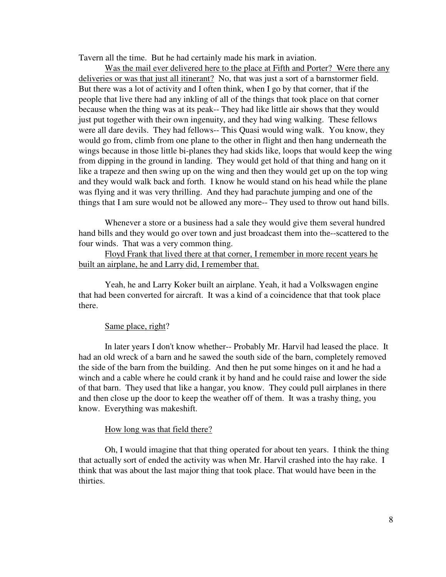Tavern all the time. But he had certainly made his mark in aviation.

Was the mail ever delivered here to the place at Fifth and Porter? Were there any deliveries or was that just all itinerant? No, that was just a sort of a barnstormer field. But there was a lot of activity and I often think, when I go by that corner, that if the people that live there had any inkling of all of the things that took place on that corner because when the thing was at its peak-- They had like little air shows that they would just put together with their own ingenuity, and they had wing walking. These fellows were all dare devils. They had fellows-- This Quasi would wing walk. You know, they would go from, climb from one plane to the other in flight and then hang underneath the wings because in those little bi-planes they had skids like, loops that would keep the wing from dipping in the ground in landing. They would get hold of that thing and hang on it like a trapeze and then swing up on the wing and then they would get up on the top wing and they would walk back and forth. I know he would stand on his head while the plane was flying and it was very thrilling. And they had parachute jumping and one of the things that I am sure would not be allowed any more-- They used to throw out hand bills.

Whenever a store or a business had a sale they would give them several hundred hand bills and they would go over town and just broadcast them into the--scattered to the four winds. That was a very common thing.

Floyd Frank that lived there at that corner, I remember in more recent years he built an airplane, he and Larry did, I remember that.

Yeah, he and Larry Koker built an airplane. Yeah, it had a Volkswagen engine that had been converted for aircraft. It was a kind of a coincidence that that took place there.

#### Same place, right?

In later years I don't know whether-- Probably Mr. Harvil had leased the place. It had an old wreck of a barn and he sawed the south side of the barn, completely removed the side of the barn from the building. And then he put some hinges on it and he had a winch and a cable where he could crank it by hand and he could raise and lower the side of that barn. They used that like a hangar, you know. They could pull airplanes in there and then close up the door to keep the weather off of them. It was a trashy thing, you know. Everything was makeshift.

## How long was that field there?

Oh, I would imagine that that thing operated for about ten years. I think the thing that actually sort of ended the activity was when Mr. Harvil crashed into the hay rake. I think that was about the last major thing that took place. That would have been in the thirties.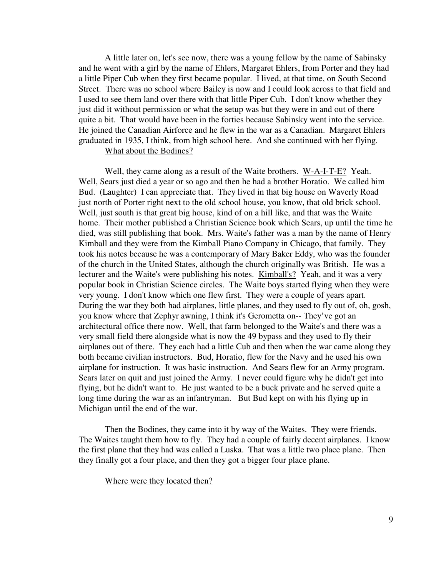A little later on, let's see now, there was a young fellow by the name of Sabinsky and he went with a girl by the name of Ehlers, Margaret Ehlers, from Porter and they had a little Piper Cub when they first became popular. I lived, at that time, on South Second Street. There was no school where Bailey is now and I could look across to that field and I used to see them land over there with that little Piper Cub. I don't know whether they just did it without permission or what the setup was but they were in and out of there quite a bit. That would have been in the forties because Sabinsky went into the service. He joined the Canadian Airforce and he flew in the war as a Canadian. Margaret Ehlers graduated in 1935, I think, from high school here. And she continued with her flying. What about the Bodines?

Well, they came along as a result of the Waite brothers. W-A-I-T-E? Yeah. Well, Sears just died a year or so ago and then he had a brother Horatio. We called him Bud. (Laughter) I can appreciate that. They lived in that big house on Waverly Road just north of Porter right next to the old school house, you know, that old brick school. Well, just south is that great big house, kind of on a hill like, and that was the Waite home. Their mother published a Christian Science book which Sears, up until the time he died, was still publishing that book. Mrs. Waite's father was a man by the name of Henry Kimball and they were from the Kimball Piano Company in Chicago, that family. They took his notes because he was a contemporary of Mary Baker Eddy, who was the founder of the church in the United States, although the church originally was British. He was a lecturer and the Waite's were publishing his notes. Kimball's? Yeah, and it was a very popular book in Christian Science circles. The Waite boys started flying when they were very young. I don't know which one flew first. They were a couple of years apart. During the war they both had airplanes, little planes, and they used to fly out of, oh, gosh, you know where that Zephyr awning, I think it's Gerometta on-- They've got an architectural office there now. Well, that farm belonged to the Waite's and there was a very small field there alongside what is now the 49 bypass and they used to fly their airplanes out of there. They each had a little Cub and then when the war came along they both became civilian instructors. Bud, Horatio, flew for the Navy and he used his own airplane for instruction. It was basic instruction. And Sears flew for an Army program. Sears later on quit and just joined the Army. I never could figure why he didn't get into flying, but he didn't want to. He just wanted to be a buck private and he served quite a long time during the war as an infantryman. But Bud kept on with his flying up in Michigan until the end of the war.

Then the Bodines, they came into it by way of the Waites. They were friends. The Waites taught them how to fly. They had a couple of fairly decent airplanes. I know the first plane that they had was called a Luska. That was a little two place plane. Then they finally got a four place, and then they got a bigger four place plane.

Where were they located then?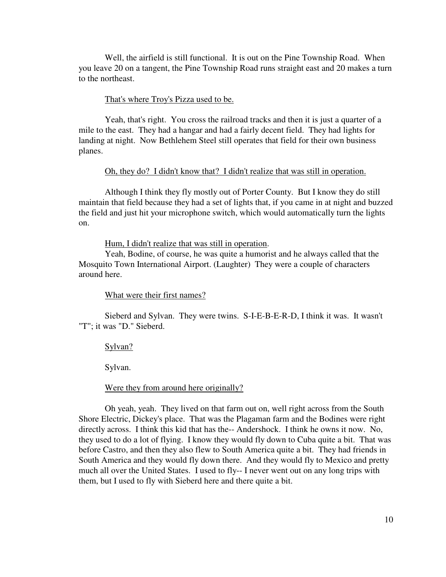Well, the airfield is still functional. It is out on the Pine Township Road. When you leave 20 on a tangent, the Pine Township Road runs straight east and 20 makes a turn to the northeast.

### That's where Troy's Pizza used to be.

Yeah, that's right. You cross the railroad tracks and then it is just a quarter of a mile to the east. They had a hangar and had a fairly decent field. They had lights for landing at night. Now Bethlehem Steel still operates that field for their own business planes.

### Oh, they do? I didn't know that? I didn't realize that was still in operation.

Although I think they fly mostly out of Porter County. But I know they do still maintain that field because they had a set of lights that, if you came in at night and buzzed the field and just hit your microphone switch, which would automatically turn the lights on.

# Hum, I didn't realize that was still in operation.

Yeah, Bodine, of course, he was quite a humorist and he always called that the Mosquito Town International Airport. (Laughter) They were a couple of characters around here.

## What were their first names?

Sieberd and Sylvan. They were twins. S-I-E-B-E-R-D, I think it was. It wasn't "T"; it was "D." Sieberd.

Sylvan?

Sylvan.

#### Were they from around here originally?

Oh yeah, yeah. They lived on that farm out on, well right across from the South Shore Electric, Dickey's place. That was the Plagaman farm and the Bodines were right directly across. I think this kid that has the-- Andershock. I think he owns it now. No, they used to do a lot of flying. I know they would fly down to Cuba quite a bit. That was before Castro, and then they also flew to South America quite a bit. They had friends in South America and they would fly down there. And they would fly to Mexico and pretty much all over the United States. I used to fly-- I never went out on any long trips with them, but I used to fly with Sieberd here and there quite a bit.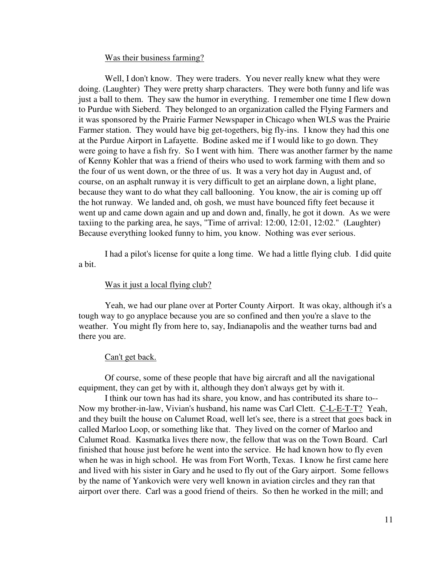### Was their business farming?

Well, I don't know. They were traders. You never really knew what they were doing. (Laughter) They were pretty sharp characters. They were both funny and life was just a ball to them. They saw the humor in everything. I remember one time I flew down to Purdue with Sieberd. They belonged to an organization called the Flying Farmers and it was sponsored by the Prairie Farmer Newspaper in Chicago when WLS was the Prairie Farmer station. They would have big get-togethers, big fly-ins. I know they had this one at the Purdue Airport in Lafayette. Bodine asked me if I would like to go down. They were going to have a fish fry. So I went with him. There was another farmer by the name of Kenny Kohler that was a friend of theirs who used to work farming with them and so the four of us went down, or the three of us. It was a very hot day in August and, of course, on an asphalt runway it is very difficult to get an airplane down, a light plane, because they want to do what they call ballooning. You know, the air is coming up off the hot runway. We landed and, oh gosh, we must have bounced fifty feet because it went up and came down again and up and down and, finally, he got it down. As we were taxiing to the parking area, he says, "Time of arrival: 12:00, 12:01, 12:02." (Laughter) Because everything looked funny to him, you know. Nothing was ever serious.

I had a pilot's license for quite a long time. We had a little flying club. I did quite a bit.

# Was it just a local flying club?

Yeah, we had our plane over at Porter County Airport. It was okay, although it's a tough way to go anyplace because you are so confined and then you're a slave to the weather. You might fly from here to, say, Indianapolis and the weather turns bad and there you are.

## Can't get back.

Of course, some of these people that have big aircraft and all the navigational equipment, they can get by with it, although they don't always get by with it.

I think our town has had its share, you know, and has contributed its share to-- Now my brother-in-law, Vivian's husband, his name was Carl Clett. C-L-E-T-T? Yeah, and they built the house on Calumet Road, well let's see, there is a street that goes back in called Marloo Loop, or something like that. They lived on the corner of Marloo and Calumet Road. Kasmatka lives there now, the fellow that was on the Town Board. Carl finished that house just before he went into the service. He had known how to fly even when he was in high school. He was from Fort Worth, Texas. I know he first came here and lived with his sister in Gary and he used to fly out of the Gary airport. Some fellows by the name of Yankovich were very well known in aviation circles and they ran that airport over there. Carl was a good friend of theirs. So then he worked in the mill; and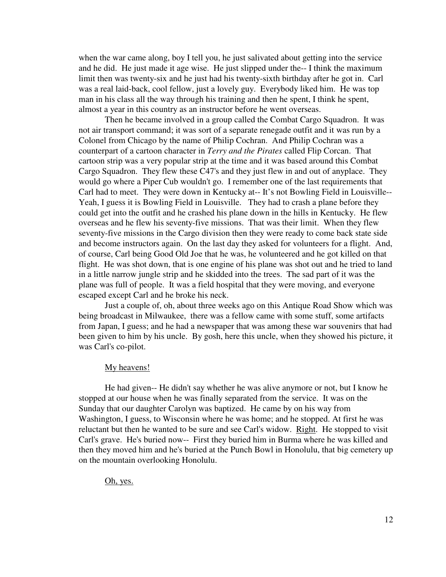when the war came along, boy I tell you, he just salivated about getting into the service and he did. He just made it age wise. He just slipped under the-- I think the maximum limit then was twenty-six and he just had his twenty-sixth birthday after he got in. Carl was a real laid-back, cool fellow, just a lovely guy. Everybody liked him. He was top man in his class all the way through his training and then he spent, I think he spent, almost a year in this country as an instructor before he went overseas.

Then he became involved in a group called the Combat Cargo Squadron. It was not air transport command; it was sort of a separate renegade outfit and it was run by a Colonel from Chicago by the name of Philip Cochran. And Philip Cochran was a counterpart of a cartoon character in *Terry and the Pirates* called Flip Corcan. That cartoon strip was a very popular strip at the time and it was based around this Combat Cargo Squadron. They flew these C47's and they just flew in and out of anyplace. They would go where a Piper Cub wouldn't go. I remember one of the last requirements that Carl had to meet. They were down in Kentucky at-- It's not Bowling Field in Louisville-- Yeah, I guess it is Bowling Field in Louisville. They had to crash a plane before they could get into the outfit and he crashed his plane down in the hills in Kentucky. He flew overseas and he flew his seventy-five missions. That was their limit. When they flew seventy-five missions in the Cargo division then they were ready to come back state side and become instructors again. On the last day they asked for volunteers for a flight. And, of course, Carl being Good Old Joe that he was, he volunteered and he got killed on that flight. He was shot down, that is one engine of his plane was shot out and he tried to land in a little narrow jungle strip and he skidded into the trees. The sad part of it was the plane was full of people. It was a field hospital that they were moving, and everyone escaped except Carl and he broke his neck.

Just a couple of, oh, about three weeks ago on this Antique Road Show which was being broadcast in Milwaukee, there was a fellow came with some stuff, some artifacts from Japan, I guess; and he had a newspaper that was among these war souvenirs that had been given to him by his uncle. By gosh, here this uncle, when they showed his picture, it was Carl's co-pilot.

#### My heavens!

He had given-- He didn't say whether he was alive anymore or not, but I know he stopped at our house when he was finally separated from the service. It was on the Sunday that our daughter Carolyn was baptized. He came by on his way from Washington, I guess, to Wisconsin where he was home; and he stopped. At first he was reluctant but then he wanted to be sure and see Carl's widow. Right. He stopped to visit Carl's grave. He's buried now-- First they buried him in Burma where he was killed and then they moved him and he's buried at the Punch Bowl in Honolulu, that big cemetery up on the mountain overlooking Honolulu.

# Oh, yes.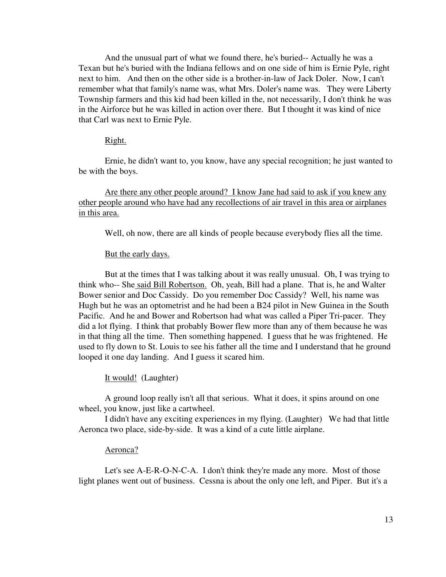And the unusual part of what we found there, he's buried-- Actually he was a Texan but he's buried with the Indiana fellows and on one side of him is Ernie Pyle, right next to him. And then on the other side is a brother-in-law of Jack Doler. Now, I can't remember what that family's name was, what Mrs. Doler's name was. They were Liberty Township farmers and this kid had been killed in the, not necessarily, I don't think he was in the Airforce but he was killed in action over there. But I thought it was kind of nice that Carl was next to Ernie Pyle.

# Right.

Ernie, he didn't want to, you know, have any special recognition; he just wanted to be with the boys.

Are there any other people around? I know Jane had said to ask if you knew any other people around who have had any recollections of air travel in this area or airplanes in this area.

Well, oh now, there are all kinds of people because everybody flies all the time.

#### But the early days.

But at the times that I was talking about it was really unusual. Oh, I was trying to think who-- She said Bill Robertson. Oh, yeah, Bill had a plane. That is, he and Walter Bower senior and Doc Cassidy. Do you remember Doc Cassidy? Well, his name was Hugh but he was an optometrist and he had been a B24 pilot in New Guinea in the South Pacific. And he and Bower and Robertson had what was called a Piper Tri-pacer. They did a lot flying. I think that probably Bower flew more than any of them because he was in that thing all the time. Then something happened. I guess that he was frightened. He used to fly down to St. Louis to see his father all the time and I understand that he ground looped it one day landing. And I guess it scared him.

It would! (Laughter)

A ground loop really isn't all that serious. What it does, it spins around on one wheel, you know, just like a cartwheel.

I didn't have any exciting experiences in my flying. (Laughter) We had that little Aeronca two place, side-by-side. It was a kind of a cute little airplane.

# Aeronca?

Let's see A-E-R-O-N-C-A. I don't think they're made any more. Most of those light planes went out of business. Cessna is about the only one left, and Piper. But it's a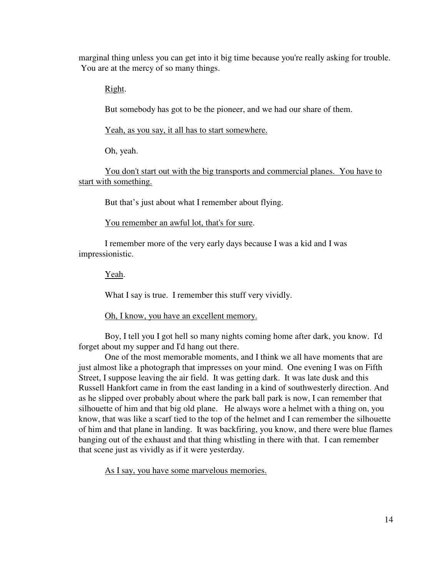marginal thing unless you can get into it big time because you're really asking for trouble. You are at the mercy of so many things.

Right.

But somebody has got to be the pioneer, and we had our share of them.

Yeah, as you say, it all has to start somewhere.

Oh, yeah.

You don't start out with the big transports and commercial planes. You have to start with something.

But that's just about what I remember about flying.

You remember an awful lot, that's for sure.

I remember more of the very early days because I was a kid and I was impressionistic.

Yeah.

What I say is true. I remember this stuff very vividly.

Oh, I know, you have an excellent memory.

Boy, I tell you I got hell so many nights coming home after dark, you know. I'd forget about my supper and I'd hang out there.

One of the most memorable moments, and I think we all have moments that are just almost like a photograph that impresses on your mind. One evening I was on Fifth Street, I suppose leaving the air field. It was getting dark. It was late dusk and this Russell Hankfort came in from the east landing in a kind of southwesterly direction. And as he slipped over probably about where the park ball park is now, I can remember that silhouette of him and that big old plane. He always wore a helmet with a thing on, you know, that was like a scarf tied to the top of the helmet and I can remember the silhouette of him and that plane in landing. It was backfiring, you know, and there were blue flames banging out of the exhaust and that thing whistling in there with that. I can remember that scene just as vividly as if it were yesterday.

As I say, you have some marvelous memories.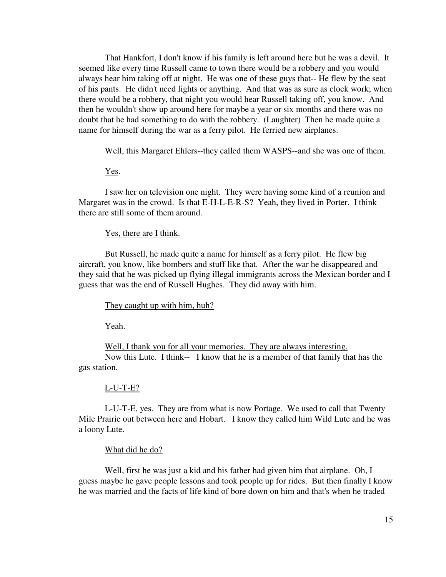That Hankfort, I don't know if his family is left around here but he was a devil. It seemed like every time Russell came to town there would be a robbery and you would always hear him taking off at night. He was one of these guys that-- He flew by the seat of his pants. He didn't need lights or anything. And that was as sure as clock work; when there would be a robbery, that night you would hear Russell taking off, you know. And then he wouldn't show up around here for maybe a year or six months and there was no doubt that he had something to do with the robbery. (Laughter) Then he made quite a name for himself during the war as a ferry pilot. He ferried new airplanes.

Well, this Margaret Ehlers--they called them WASPS--and she was one of them.

# Yes.

I saw her on television one night. They were having some kind of a reunion and Margaret was in the crowd. Is that E-H-L-E-R-S? Yeah, they lived in Porter. I think there are still some of them around.

### Yes, there are I think.

But Russell, he made quite a name for himself as a ferry pilot. He flew big aircraft, you know, like bombers and stuff like that. After the war he disappeared and they said that he was picked up flying illegal immigrants across the Mexican border and I guess that was the end of Russell Hughes. They did away with him.

They caught up with him, huh?

Yeah.

Well, I thank you for all your memories. They are always interesting. Now this Lute. I think-- I know that he is a member of that family that has the gas station.

#### L-U-T-E?

L-U-T-E, yes. They are from what is now Portage. We used to call that Twenty Mile Prairie out between here and Hobart. I know they called him Wild Lute and he was a loony Lute.

#### What did he do?

Well, first he was just a kid and his father had given him that airplane. Oh, I guess maybe he gave people lessons and took people up for rides. But then finally I know he was married and the facts of life kind of bore down on him and that's when he traded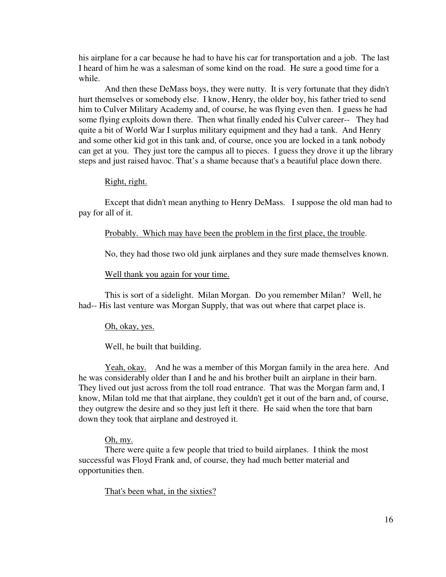his airplane for a car because he had to have his car for transportation and a job. The last I heard of him he was a salesman of some kind on the road. He sure a good time for a while.

And then these DeMass boys, they were nutty. It is very fortunate that they didn't hurt themselves or somebody else. I know, Henry, the older boy, his father tried to send him to Culver Military Academy and, of course, he was flying even then. I guess he had some flying exploits down there. Then what finally ended his Culver career-- They had quite a bit of World War I surplus military equipment and they had a tank. And Henry and some other kid got in this tank and, of course, once you are locked in a tank nobody can get at you. They just tore the campus all to pieces. I guess they drove it up the library steps and just raised havoc. That's a shame because that's a beautiful place down there.

# Right, right.

Except that didn't mean anything to Henry DeMass. I suppose the old man had to pay for all of it.

Probably. Which may have been the problem in the first place, the trouble.

No, they had those two old junk airplanes and they sure made themselves known.

Well thank you again for your time.

This is sort of a sidelight. Milan Morgan. Do you remember Milan? Well, he had-- His last venture was Morgan Supply, that was out where that carpet place is.

#### Oh, okay, yes.

Well, he built that building.

Yeah, okay. And he was a member of this Morgan family in the area here. And he was considerably older than I and he and his brother built an airplane in their barn. They lived out just across from the toll road entrance. That was the Morgan farm and, I know, Milan told me that that airplane, they couldn't get it out of the barn and, of course, they outgrew the desire and so they just left it there. He said when the tore that barn down they took that airplane and destroyed it.

#### Oh, my.

There were quite a few people that tried to build airplanes. I think the most successful was Floyd Frank and, of course, they had much better material and opportunities then.

That's been what, in the sixties?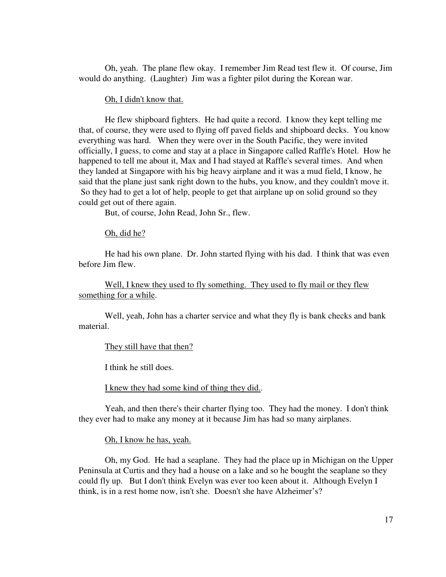Oh, yeah. The plane flew okay. I remember Jim Read test flew it. Of course, Jim would do anything. (Laughter) Jim was a fighter pilot during the Korean war.

### Oh, I didn't know that.

He flew shipboard fighters. He had quite a record. I know they kept telling me that, of course, they were used to flying off paved fields and shipboard decks. You know everything was hard. When they were over in the South Pacific, they were invited officially, I guess, to come and stay at a place in Singapore called Raffle's Hotel. How he happened to tell me about it, Max and I had stayed at Raffle's several times. And when they landed at Singapore with his big heavy airplane and it was a mud field, I know, he said that the plane just sank right down to the hubs, you know, and they couldn't move it. So they had to get a lot of help, people to get that airplane up on solid ground so they could get out of there again.

But, of course, John Read, John Sr., flew.

Oh, did he?

He had his own plane. Dr. John started flying with his dad. I think that was even before Jim flew.

Well, I knew they used to fly something. They used to fly mail or they flew something for a while.

Well, yeah, John has a charter service and what they fly is bank checks and bank material.

## They still have that then?

I think he still does.

I knew they had some kind of thing they did..

Yeah, and then there's their charter flying too. They had the money. I don't think they ever had to make any money at it because Jim has had so many airplanes.

Oh, I know he has, yeah.

Oh, my God. He had a seaplane. They had the place up in Michigan on the Upper Peninsula at Curtis and they had a house on a lake and so he bought the seaplane so they could fly up. But I don't think Evelyn was ever too keen about it. Although Evelyn I think, is in a rest home now, isn't she. Doesn't she have Alzheimer's?